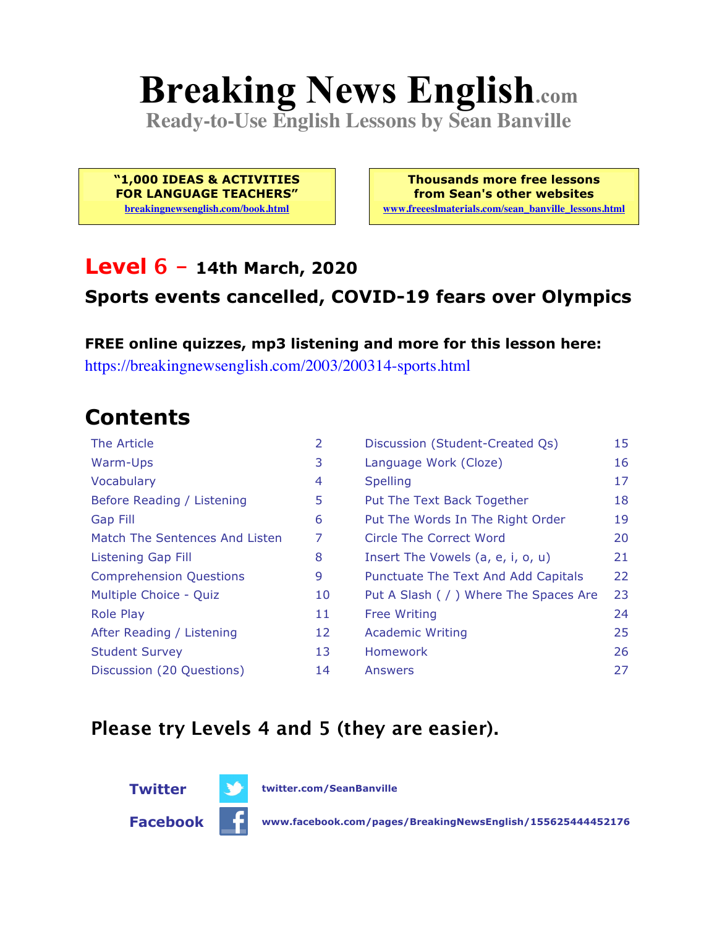# **Breaking News English.com**

**Ready-to-Use English Lessons by Sean Banville**

**"1,000 IDEAS & ACTIVITIES FOR LANGUAGE TEACHERS" breakingnewsenglish.com/book.html**

**Thousands more free lessons from Sean's other websites www.freeeslmaterials.com/sean\_banville\_lessons.html**

#### **Level 6 - 14th March, 2020**

#### **Sports events cancelled, COVID-19 fears over Olympics**

**FREE online quizzes, mp3 listening and more for this lesson here:** https://breakingnewsenglish.com/2003/200314-sports.html

### **Contents**

| The Article                    | $\overline{2}$ | Discussion (Student-Created Qs)        | 15 |
|--------------------------------|----------------|----------------------------------------|----|
| Warm-Ups                       | 3              | Language Work (Cloze)                  | 16 |
| Vocabulary                     | 4              | <b>Spelling</b>                        | 17 |
| Before Reading / Listening     | 5              | Put The Text Back Together             | 18 |
| <b>Gap Fill</b>                | 6              | Put The Words In The Right Order       | 19 |
| Match The Sentences And Listen | 7              | Circle The Correct Word                | 20 |
| Listening Gap Fill             | 8              | Insert The Vowels (a, e, i, o, u)      | 21 |
| <b>Comprehension Questions</b> | 9              | Punctuate The Text And Add Capitals    | 22 |
| Multiple Choice - Quiz         | 10             | Put A Slash ( / ) Where The Spaces Are | 23 |
| <b>Role Play</b>               | 11             | <b>Free Writing</b>                    | 24 |
| After Reading / Listening      | 12             | <b>Academic Writing</b>                | 25 |
| <b>Student Survey</b>          | 13             | <b>Homework</b>                        | 26 |
| Discussion (20 Questions)      | 14             | Answers                                | 27 |

#### **Please try Levels 4 and 5 (they are easier).**

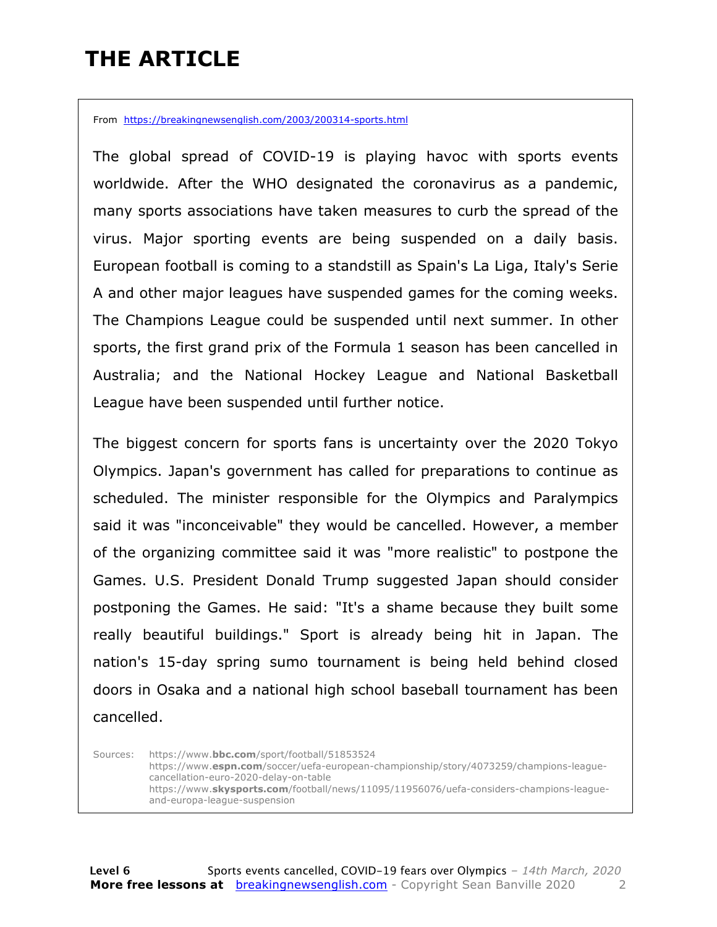### **THE ARTICLE**

From https://breakingnewsenglish.com/2003/200314-sports.html

The global spread of COVID-19 is playing havoc with sports events worldwide. After the WHO designated the coronavirus as a pandemic, many sports associations have taken measures to curb the spread of the virus. Major sporting events are being suspended on a daily basis. European football is coming to a standstill as Spain's La Liga, Italy's Serie A and other major leagues have suspended games for the coming weeks. The Champions League could be suspended until next summer. In other sports, the first grand prix of the Formula 1 season has been cancelled in Australia; and the National Hockey League and National Basketball League have been suspended until further notice.

The biggest concern for sports fans is uncertainty over the 2020 Tokyo Olympics. Japan's government has called for preparations to continue as scheduled. The minister responsible for the Olympics and Paralympics said it was "inconceivable" they would be cancelled. However, a member of the organizing committee said it was "more realistic" to postpone the Games. U.S. President Donald Trump suggested Japan should consider postponing the Games. He said: "It's a shame because they built some really beautiful buildings." Sport is already being hit in Japan. The nation's 15-day spring sumo tournament is being held behind closed doors in Osaka and a national high school baseball tournament has been cancelled.

Sources: https://www.**bbc.com**/sport/football/51853524 https://www.**espn.com**/soccer/uefa-european-championship/story/4073259/champions-leaguecancellation-euro-2020-delay-on-table https://www.**skysports.com**/football/news/11095/11956076/uefa-considers-champions-leagueand-europa-league-suspension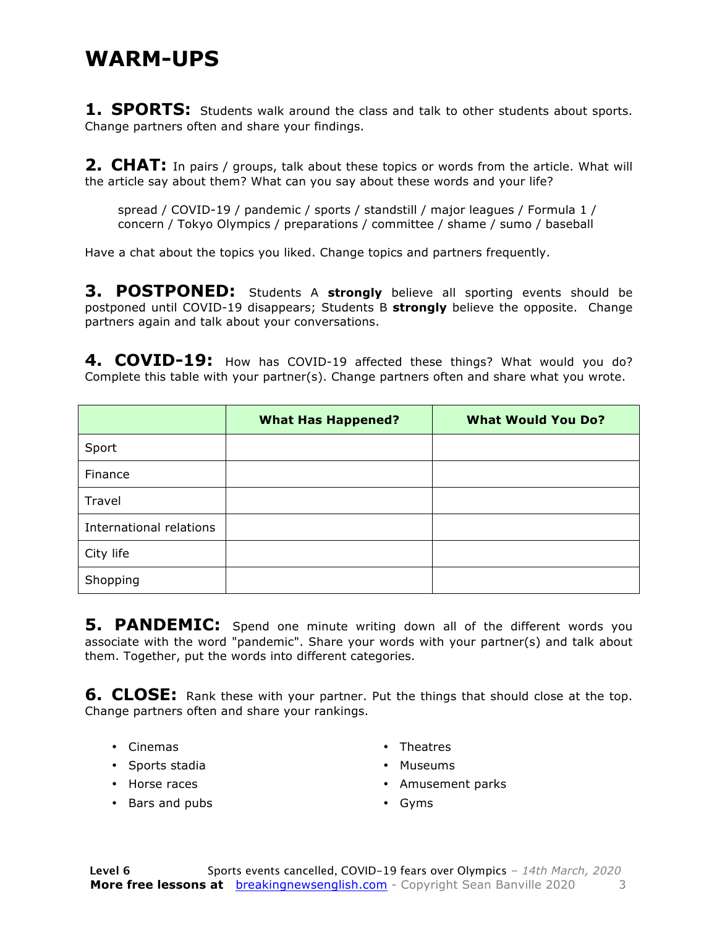#### **WARM-UPS**

**1. SPORTS:** Students walk around the class and talk to other students about sports. Change partners often and share your findings.

**2. CHAT:** In pairs / groups, talk about these topics or words from the article. What will the article say about them? What can you say about these words and your life?

spread / COVID-19 / pandemic / sports / standstill / major leagues / Formula 1 / concern / Tokyo Olympics / preparations / committee / shame / sumo / baseball

Have a chat about the topics you liked. Change topics and partners frequently.

**3. POSTPONED:** Students A **strongly** believe all sporting events should be postponed until COVID-19 disappears; Students B **strongly** believe the opposite. Change partners again and talk about your conversations.

4. COVID-19: How has COVID-19 affected these things? What would you do? Complete this table with your partner(s). Change partners often and share what you wrote.

|                         | <b>What Has Happened?</b> | <b>What Would You Do?</b> |
|-------------------------|---------------------------|---------------------------|
| Sport                   |                           |                           |
| Finance                 |                           |                           |
| Travel                  |                           |                           |
| International relations |                           |                           |
| City life               |                           |                           |
| Shopping                |                           |                           |

**5. PANDEMIC:** Spend one minute writing down all of the different words you associate with the word "pandemic". Share your words with your partner(s) and talk about them. Together, put the words into different categories.

**6. CLOSE:** Rank these with your partner. Put the things that should close at the top. Change partners often and share your rankings.

- Cinemas
- Sports stadia
- Horse races
- Bars and pubs
- Theatres
- Museums
- Amusement parks
- Gyms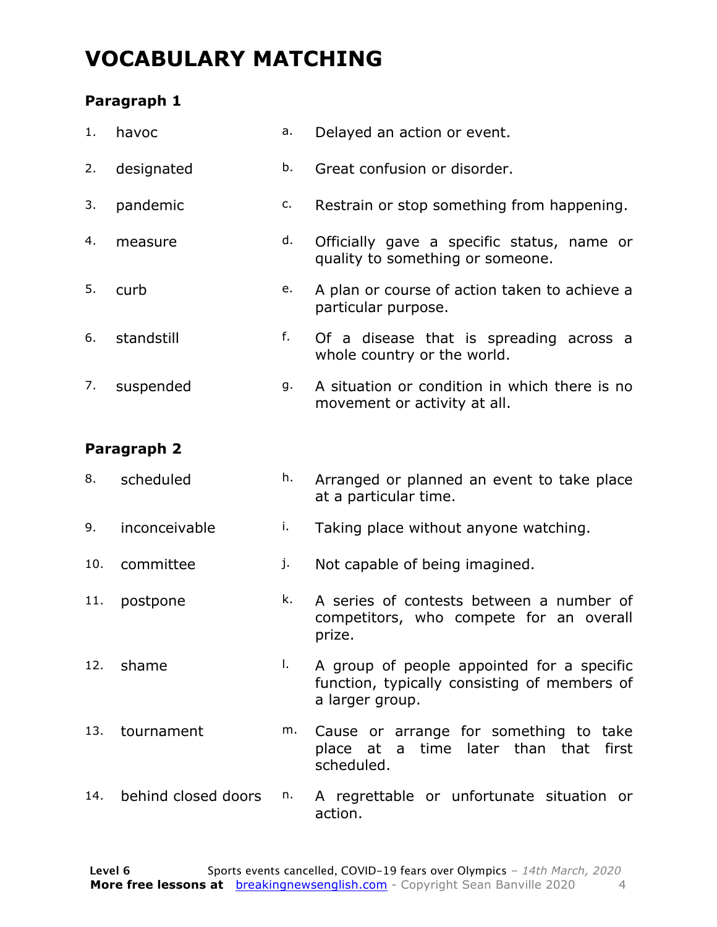### **VOCABULARY MATCHING**

#### **Paragraph 1**

| 1. | havoc      | а. | Delayed an action or event.                                                    |
|----|------------|----|--------------------------------------------------------------------------------|
| 2. | designated | b. | Great confusion or disorder.                                                   |
| 3. | pandemic   | c. | Restrain or stop something from happening.                                     |
| 4. | measure    | d. | Officially gave a specific status, name or<br>quality to something or someone. |
| 5. | curb       | е. | A plan or course of action taken to achieve a<br>particular purpose.           |
| 6. | standstill | f. | Of a disease that is spreading across a<br>whole country or the world.         |
| 7. | suspended  | g. | A situation or condition in which there is no<br>movement or activity at all.  |

#### **Paragraph 2**

| scheduled | h. Arranged or planned an event to take place |
|-----------|-----------------------------------------------|
|           | at a particular time.                         |

- 9. inconceivable i. Taking place without anyone watching.
- 10. committee in Not capable of being imagined.
- 11. postpone k. A series of contests between a number of competitors, who compete for an overall prize.
- 12. shame a secure l. A group of people appointed for a specific function, typically consisting of members of a larger group.
- 13. tournament m. Cause or arrange for something to take place at a time later than that first scheduled.
- 14. behind closed doors n. A regrettable or unfortunate situation or action.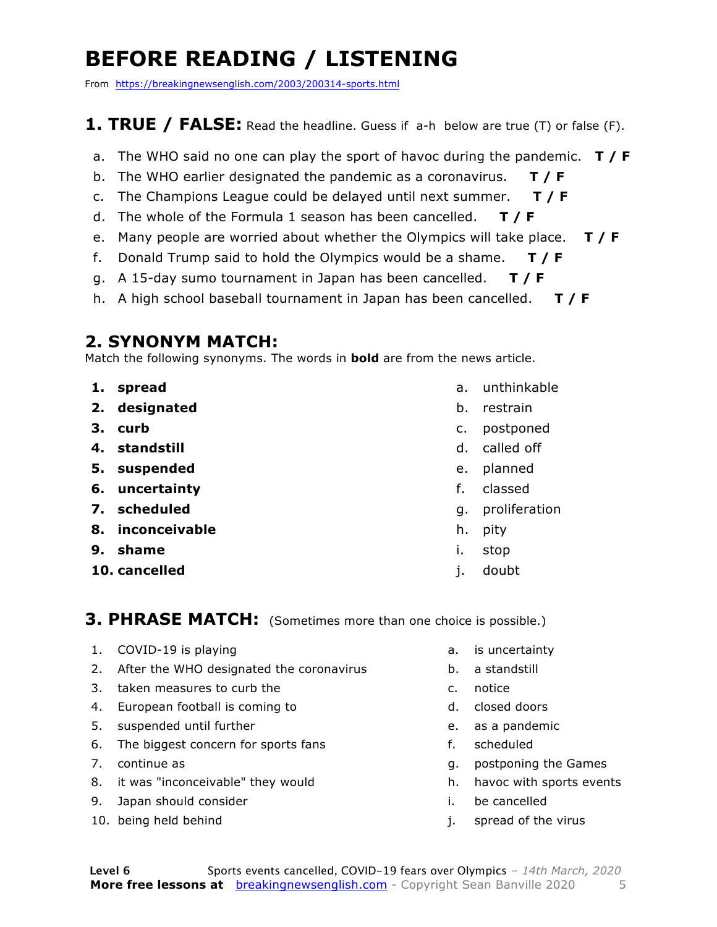### **BEFORE READING / LISTENING**

From https://breakingnewsenglish.com/2003/200314-sports.html

#### **1. TRUE / FALSE:** Read the headline. Guess if a-h below are true (T) or false (F).

- a. The WHO said no one can play the sport of havoc during the pandemic. **T / F**
- b. The WHO earlier designated the pandemic as a coronavirus. **T / F**
- c. The Champions League could be delayed until next summer. **T / F**
- d. The whole of the Formula 1 season has been cancelled. **T / F**
- e. Many people are worried about whether the Olympics will take place. **T / F**
- f. Donald Trump said to hold the Olympics would be a shame. **T / F**
- g. A 15-day sumo tournament in Japan has been cancelled. **T / F**
- h. A high school baseball tournament in Japan has been cancelled. **T / F**

#### **2. SYNONYM MATCH:**

Match the following synonyms. The words in **bold** are from the news article.

- **1. spread**
- **2. designated**
- **3. curb**
- **4. standstill**
- **5. suspended**
- **6. uncertainty**
- **7. scheduled**
- **8. inconceivable**
- **9. shame**
- **10. cancelled**
- a. unthinkable
- b. restrain
- c. postponed
- d. called off
- e. planned
- f. classed
- g. proliferation
- h. pity
- i. stop
- j. doubt

#### **3. PHRASE MATCH:** (Sometimes more than one choice is possible.)

- 1. COVID-19 is playing
- 2. After the WHO designated the coronavirus
- 3. taken measures to curb the
- 4. European football is coming to
- 5. suspended until further
- 6. The biggest concern for sports fans
- 7. continue as
- 8. it was "inconceivable" they would
- 9. Japan should consider
- 10. being held behind
- a. is uncertainty
- b. a standstill
- c. notice
- d. closed doors
- e. as a pandemic
- f. scheduled
- g. postponing the Games
- h. havoc with sports events
- i. be cancelled
- j. spread of the virus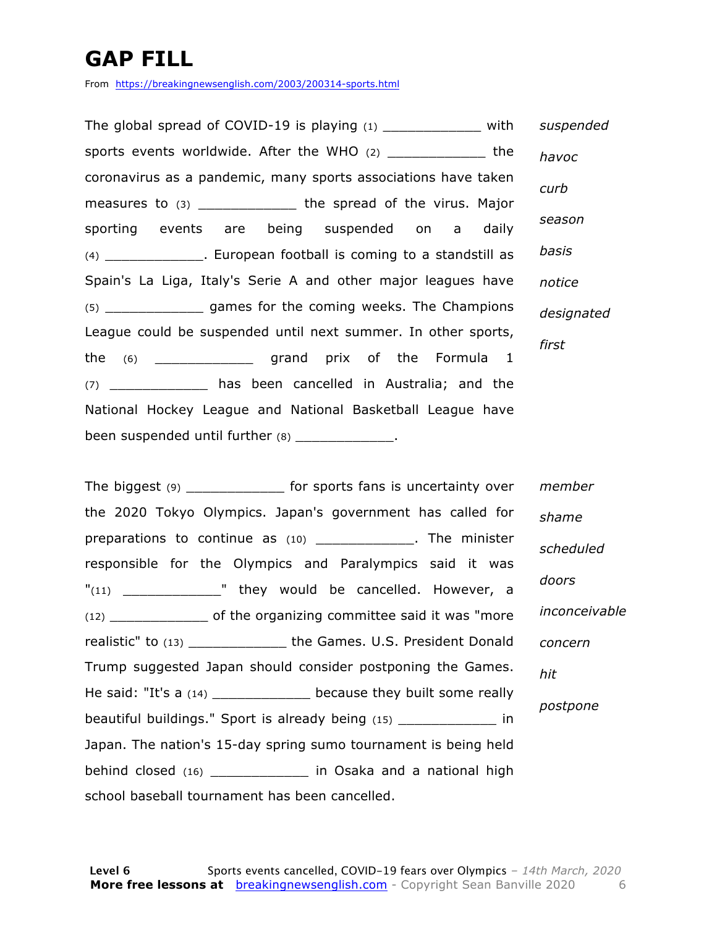### **GAP FILL**

From https://breakingnewsenglish.com/2003/200314-sports.html

The global spread of COVID-19 is playing  $(1)$  with sports events worldwide. After the WHO (2) \_\_\_\_\_\_\_\_\_\_\_\_ the coronavirus as a pandemic, many sports associations have taken measures to (3) \_\_\_\_\_\_\_\_\_\_\_\_\_\_ the spread of the virus. Major sporting events are being suspended on a daily (4) \_\_\_\_\_\_\_\_\_\_\_\_. European football is coming to a standstill as Spain's La Liga, Italy's Serie A and other major leagues have (5) \_\_\_\_\_\_\_\_\_\_\_\_ games for the coming weeks. The Champions League could be suspended until next summer. In other sports, the (6) \_\_\_\_\_\_\_\_\_\_\_\_ grand prix of the Formula 1 (7) \_\_\_\_\_\_\_\_\_\_\_\_ has been cancelled in Australia; and the National Hockey League and National Basketball League have been suspended until further (8) \_\_\_\_\_\_\_\_\_\_\_\_\_\_. *suspended havoc curb season basis notice designated first*

The biggest (9) \_\_\_\_\_\_\_\_\_\_\_\_\_\_ for sports fans is uncertainty over the 2020 Tokyo Olympics. Japan's government has called for preparations to continue as (10) \_\_\_\_\_\_\_\_\_\_\_\_\_. The minister responsible for the Olympics and Paralympics said it was "(11) They would be cancelled. However, a (12) \_\_\_\_\_\_\_\_\_\_\_\_ of the organizing committee said it was "more realistic" to (13) \_\_\_\_\_\_\_\_\_\_\_\_ the Games. U.S. President Donald Trump suggested Japan should consider postponing the Games. He said: "It's a (14) \_\_\_\_\_\_\_\_\_\_\_\_\_ because they built some really beautiful buildings." Sport is already being (15) \_\_\_\_\_\_\_\_\_\_\_\_ in Japan. The nation's 15-day spring sumo tournament is being held behind closed (16) \_\_\_\_\_\_\_\_\_\_\_\_ in Osaka and a national high school baseball tournament has been cancelled. *member shame scheduled doors inconceivable concern hit postpone*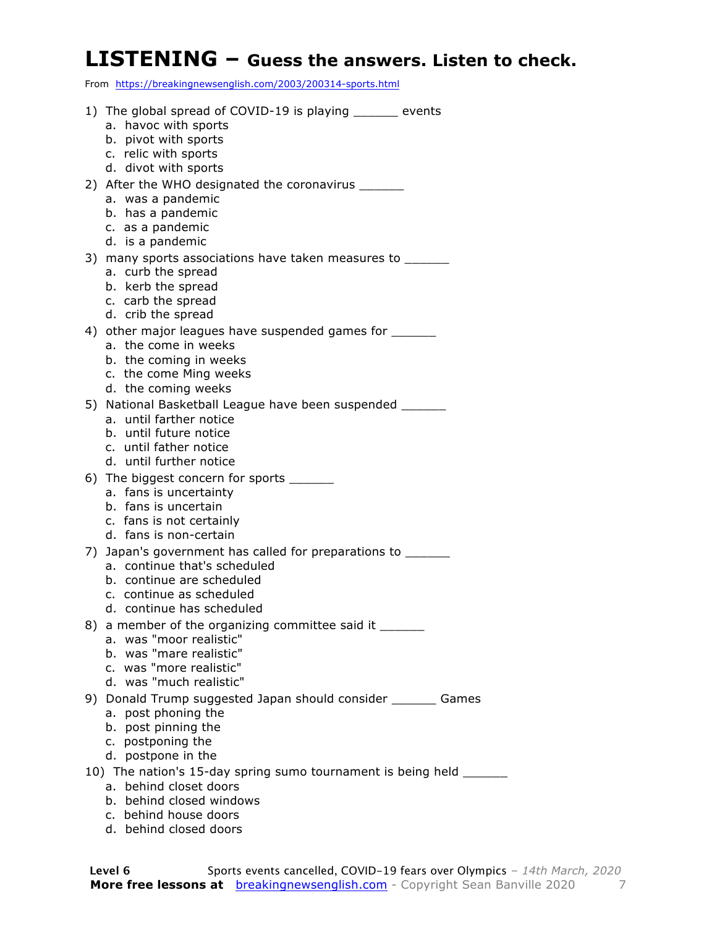#### **LISTENING – Guess the answers. Listen to check.**

From https://breakingnewsenglish.com/2003/200314-sports.html

| 1) The global spread of COVID-19 is playing ______ events                          |
|------------------------------------------------------------------------------------|
| a. havoc with sports                                                               |
| b. pivot with sports                                                               |
| c. relic with sports                                                               |
| d. divot with sports                                                               |
| 2) After the WHO designated the coronavirus _______                                |
| a. was a pandemic                                                                  |
| b. has a pandemic                                                                  |
| c. as a pandemic<br>d. is a pandemic                                               |
|                                                                                    |
| 3) many sports associations have taken measures to _______<br>a. curb the spread   |
| b. kerb the spread                                                                 |
| c. carb the spread                                                                 |
| d. crib the spread                                                                 |
| 4) other major leagues have suspended games for _______                            |
| a. the come in weeks                                                               |
| b. the coming in weeks                                                             |
| c. the come Ming weeks                                                             |
| d. the coming weeks                                                                |
| 5) National Basketball League have been suspended ______                           |
| a. until farther notice<br>b. until future notice                                  |
| c. until father notice                                                             |
| d. until further notice                                                            |
| 6) The biggest concern for sports _______                                          |
| a. fans is uncertainty                                                             |
| b. fans is uncertain                                                               |
| c. fans is not certainly                                                           |
| d. fans is non-certain                                                             |
| 7) Japan's government has called for preparations to ______                        |
| a. continue that's scheduled                                                       |
| b. continue are scheduled                                                          |
| c. continue as scheduled                                                           |
| d. continue has scheduled                                                          |
| 8) a member of the organizing committee said it _______<br>a. was "moor realistic" |
| b. was "mare realistic"                                                            |
| c. was "more realistic"                                                            |
| d. was "much realistic"                                                            |
| 9) Donald Trump suggested Japan should consider _______ Games                      |
| post phoning the<br>а.                                                             |
| b. post pinning the                                                                |
| c. postponing the                                                                  |
| d. postpone in the                                                                 |
| 10) The nation's 15-day spring sumo tournament is being held _____                 |
| a. behind closet doors                                                             |
| b. behind closed windows                                                           |
| c. behind house doors                                                              |

d. behind closed doors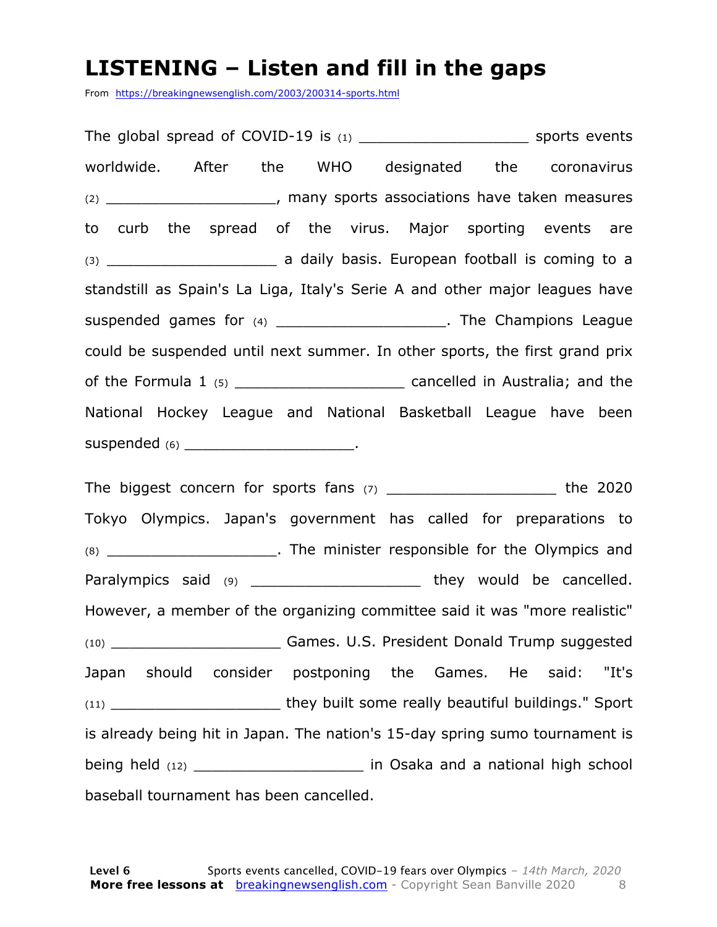#### **LISTENING – Listen and fill in the gaps**

From https://breakingnewsenglish.com/2003/200314-sports.html

The global spread of COVID-19 is (1) \_\_\_\_\_\_\_\_\_\_\_\_\_\_\_\_\_\_\_ sports events worldwide. After the WHO designated the coronavirus (2) \_\_\_\_\_\_\_\_\_\_\_\_\_\_\_\_\_\_\_, many sports associations have taken measures to curb the spread of the virus. Major sporting events are (3) \_\_\_\_\_\_\_\_\_\_\_\_\_\_\_\_\_\_\_ a daily basis. European football is coming to a standstill as Spain's La Liga, Italy's Serie A and other major leagues have suspended games for (4) \_\_\_\_\_\_\_\_\_\_\_\_\_\_\_\_\_\_\_\_\_\_\_. The Champions League could be suspended until next summer. In other sports, the first grand prix of the Formula 1 (5) \_\_\_\_\_\_\_\_\_\_\_\_\_\_\_\_\_\_\_ cancelled in Australia; and the National Hockey League and National Basketball League have been suspended (6) \_\_\_\_\_\_\_\_\_\_\_\_\_\_\_\_\_\_\_\_\_\_\_\_\_\_\_.

The biggest concern for sports fans  $(7)$  \_\_\_\_\_\_\_\_\_\_\_\_\_\_\_\_\_\_\_\_\_\_\_\_\_\_ the 2020 Tokyo Olympics. Japan's government has called for preparations to (8) The minister responsible for the Olympics and Paralympics said (9) \_\_\_\_\_\_\_\_\_\_\_\_\_\_\_\_\_\_\_\_\_\_ they would be cancelled. However, a member of the organizing committee said it was "more realistic" (10) \_\_\_\_\_\_\_\_\_\_\_\_\_\_\_\_\_\_\_ Games. U.S. President Donald Trump suggested Japan should consider postponing the Games. He said: "It's (11) **they built some really beautiful buildings." Sport** is already being hit in Japan. The nation's 15-day spring sumo tournament is being held (12) \_\_\_\_\_\_\_\_\_\_\_\_\_\_\_\_\_\_\_ in Osaka and a national high school baseball tournament has been cancelled.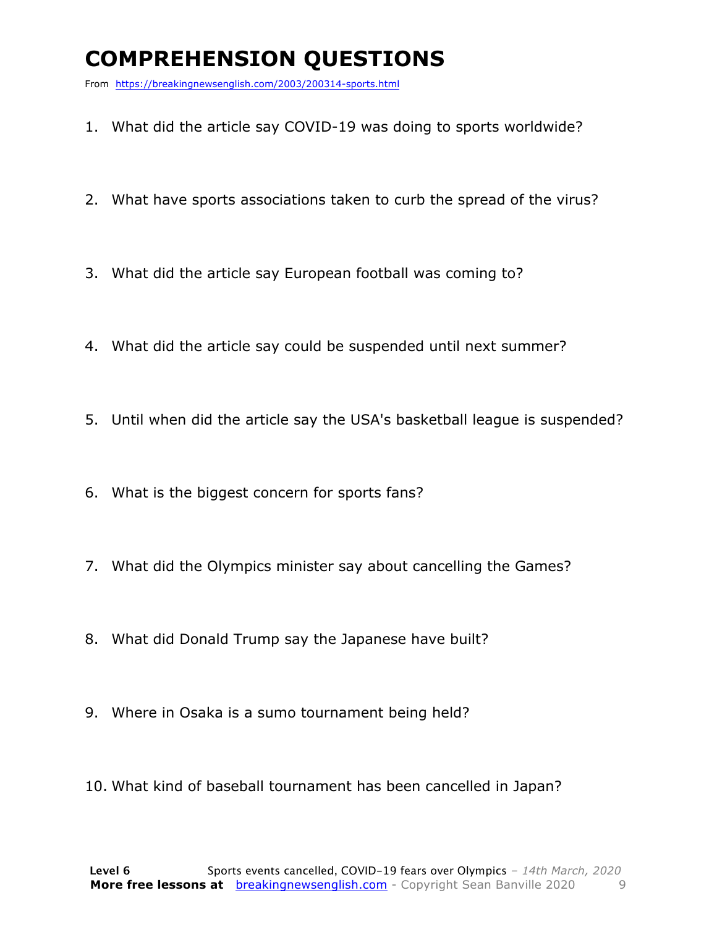### **COMPREHENSION QUESTIONS**

From https://breakingnewsenglish.com/2003/200314-sports.html

- 1. What did the article say COVID-19 was doing to sports worldwide?
- 2. What have sports associations taken to curb the spread of the virus?
- 3. What did the article say European football was coming to?
- 4. What did the article say could be suspended until next summer?
- 5. Until when did the article say the USA's basketball league is suspended?
- 6. What is the biggest concern for sports fans?
- 7. What did the Olympics minister say about cancelling the Games?
- 8. What did Donald Trump say the Japanese have built?
- 9. Where in Osaka is a sumo tournament being held?
- 10. What kind of baseball tournament has been cancelled in Japan?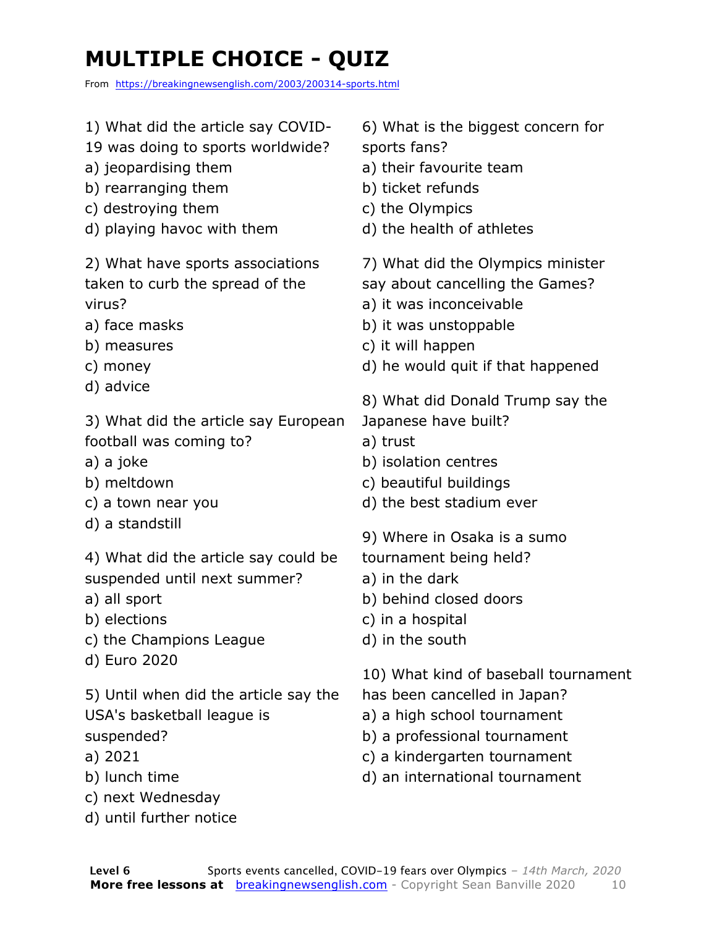## **MULTIPLE CHOICE - QUIZ**

From https://breakingnewsenglish.com/2003/200314-sports.html

- 1) What did the article say COVID-
- 19 was doing to sports worldwide?
- a) jeopardising them
- b) rearranging them
- c) destroying them
- d) playing havoc with them

2) What have sports associations taken to curb the spread of the virus?

- a) face masks
- b) measures
- c) money
- d) advice

3) What did the article say European football was coming to?

- a) a joke
- b) meltdown
- c) a town near you
- d) a standstill

4) What did the article say could be suspended until next summer?

- a) all sport
- b) elections
- c) the Champions League
- d) Euro 2020

5) Until when did the article say the USA's basketball league is suspended?

- a) 2021
- b) lunch time
- c) next Wednesday
- d) until further notice

6) What is the biggest concern for sports fans?

- a) their favourite team
- b) ticket refunds
- c) the Olympics
- d) the health of athletes
- 7) What did the Olympics minister
- say about cancelling the Games?
- a) it was inconceivable
- b) it was unstoppable
- c) it will happen
- d) he would quit if that happened
- 8) What did Donald Trump say the Japanese have built?
- a) trust
- b) isolation centres
- c) beautiful buildings
- d) the best stadium ever
- 9) Where in Osaka is a sumo
- tournament being held?
- a) in the dark
- b) behind closed doors
- c) in a hospital
- d) in the south
- 10) What kind of baseball tournament
- has been cancelled in Japan?
- a) a high school tournament
- b) a professional tournament
- c) a kindergarten tournament
- d) an international tournament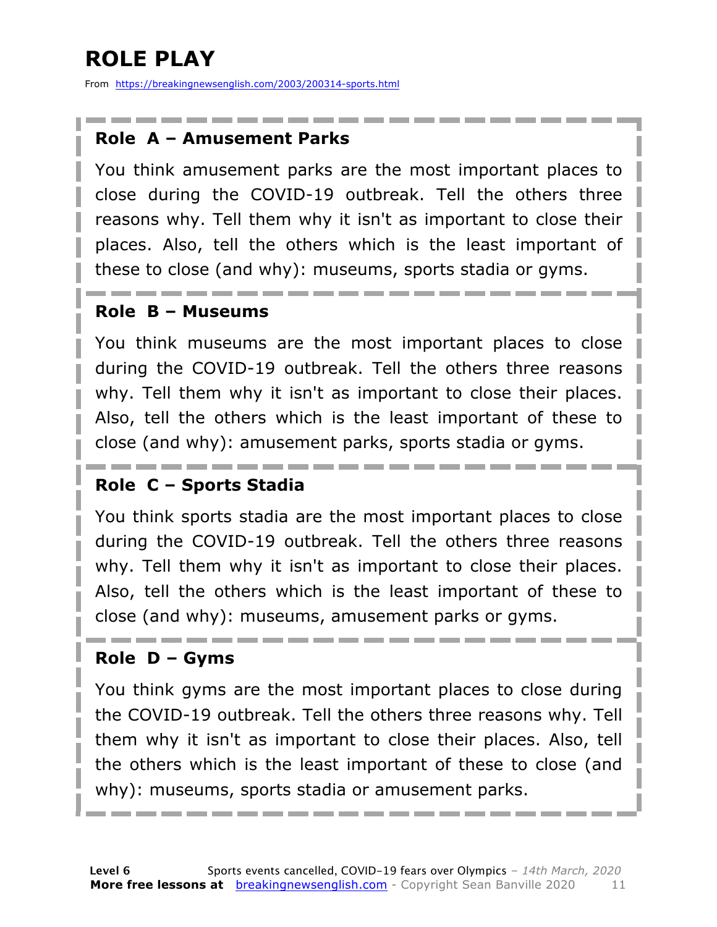## **ROLE PLAY**

From https://breakingnewsenglish.com/2003/200314-sports.html

#### **Role A – Amusement Parks**

You think amusement parks are the most important places to close during the COVID-19 outbreak. Tell the others three reasons why. Tell them why it isn't as important to close their places. Also, tell the others which is the least important of these to close (and why): museums, sports stadia or gyms.

#### **Role B – Museums**

You think museums are the most important places to close during the COVID-19 outbreak. Tell the others three reasons why. Tell them why it isn't as important to close their places. Also, tell the others which is the least important of these to close (and why): amusement parks, sports stadia or gyms.

#### **Role C – Sports Stadia**

You think sports stadia are the most important places to close during the COVID-19 outbreak. Tell the others three reasons why. Tell them why it isn't as important to close their places. Also, tell the others which is the least important of these to close (and why): museums, amusement parks or gyms.

#### **Role D – Gyms**

You think gyms are the most important places to close during the COVID-19 outbreak. Tell the others three reasons why. Tell them why it isn't as important to close their places. Also, tell the others which is the least important of these to close (and why): museums, sports stadia or amusement parks.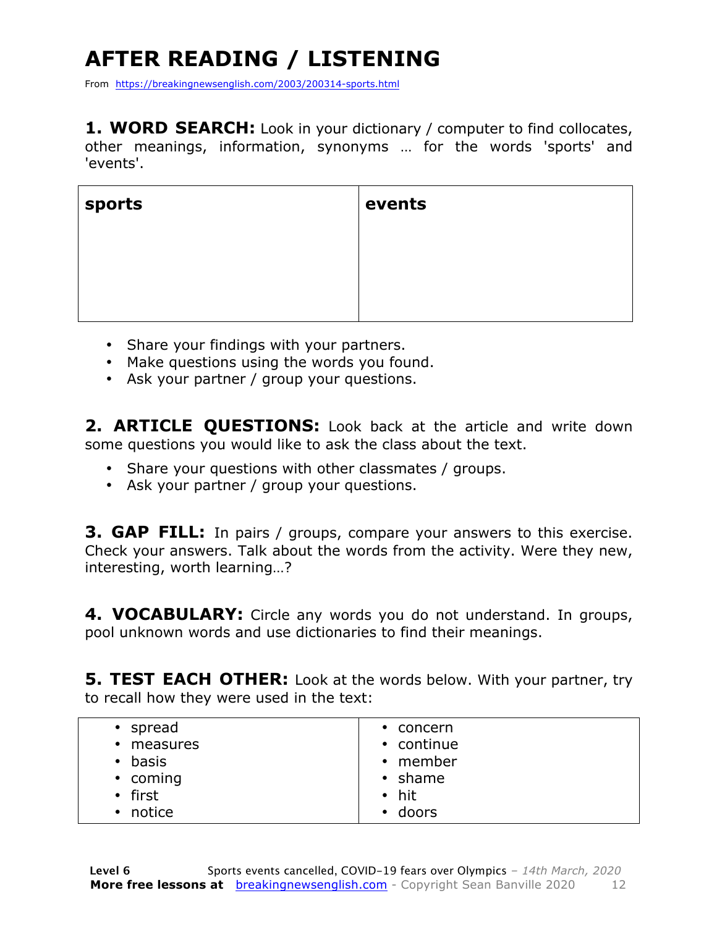## **AFTER READING / LISTENING**

From https://breakingnewsenglish.com/2003/200314-sports.html

**1. WORD SEARCH:** Look in your dictionary / computer to find collocates, other meanings, information, synonyms … for the words 'sports' and 'events'.

| sports | events |
|--------|--------|
|        |        |
|        |        |
|        |        |

- Share your findings with your partners.
- Make questions using the words you found.
- Ask your partner / group your questions.

**2. ARTICLE QUESTIONS:** Look back at the article and write down some questions you would like to ask the class about the text.

- Share your questions with other classmates / groups.
- Ask your partner / group your questions.

**3. GAP FILL:** In pairs / groups, compare your answers to this exercise. Check your answers. Talk about the words from the activity. Were they new, interesting, worth learning…?

**4. VOCABULARY:** Circle any words you do not understand. In groups, pool unknown words and use dictionaries to find their meanings.

**5. TEST EACH OTHER:** Look at the words below. With your partner, try to recall how they were used in the text:

| $\cdot$ spread        | $\cdot$ concern    |
|-----------------------|--------------------|
| measures<br>$\bullet$ | • continue         |
| basis<br>$\bullet$    | • member           |
| • coming              | $\cdot$ shame      |
| • first               | $\bullet$ hit      |
| notice<br>$\bullet$   | doors<br>$\bullet$ |
|                       |                    |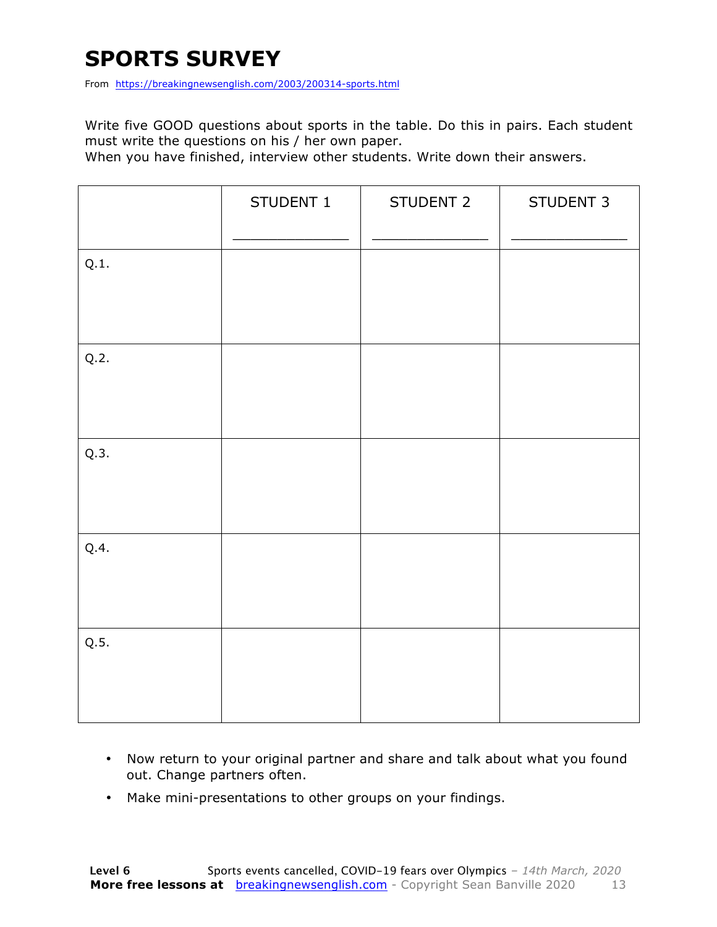### **SPORTS SURVEY**

From https://breakingnewsenglish.com/2003/200314-sports.html

Write five GOOD questions about sports in the table. Do this in pairs. Each student must write the questions on his / her own paper.

When you have finished, interview other students. Write down their answers.

|      | STUDENT 1 | STUDENT 2 | STUDENT 3 |
|------|-----------|-----------|-----------|
| Q.1. |           |           |           |
| Q.2. |           |           |           |
| Q.3. |           |           |           |
| Q.4. |           |           |           |
| Q.5. |           |           |           |

- Now return to your original partner and share and talk about what you found out. Change partners often.
- Make mini-presentations to other groups on your findings.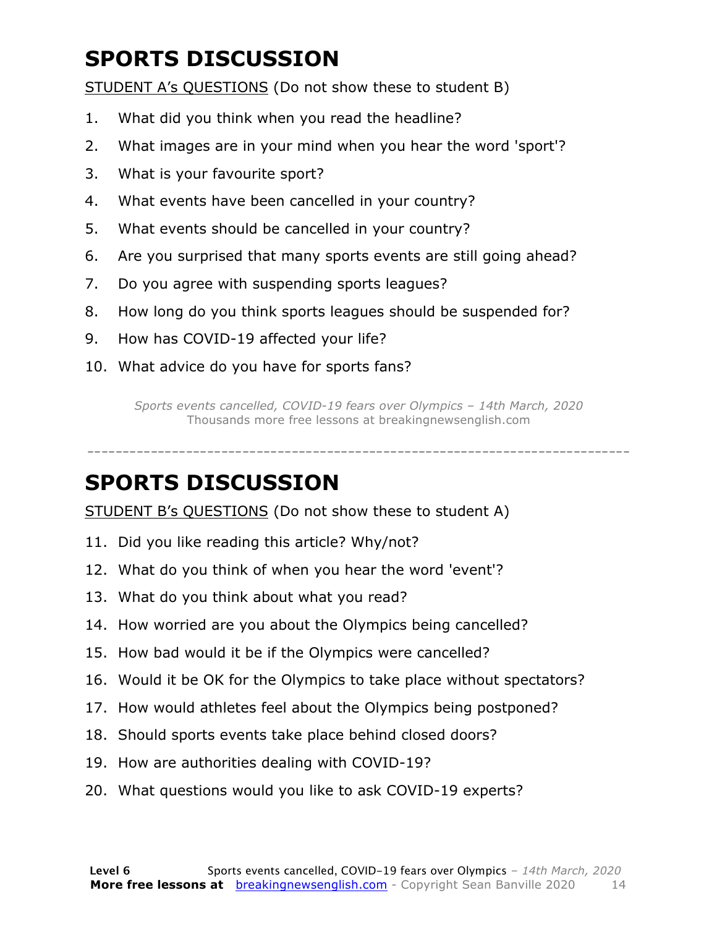### **SPORTS DISCUSSION**

STUDENT A's QUESTIONS (Do not show these to student B)

- 1. What did you think when you read the headline?
- 2. What images are in your mind when you hear the word 'sport'?
- 3. What is your favourite sport?
- 4. What events have been cancelled in your country?
- 5. What events should be cancelled in your country?
- 6. Are you surprised that many sports events are still going ahead?
- 7. Do you agree with suspending sports leagues?
- 8. How long do you think sports leagues should be suspended for?
- 9. How has COVID-19 affected your life?
- 10. What advice do you have for sports fans?

*Sports events cancelled, COVID-19 fears over Olympics – 14th March, 2020* Thousands more free lessons at breakingnewsenglish.com

-----------------------------------------------------------------------------

#### **SPORTS DISCUSSION**

STUDENT B's QUESTIONS (Do not show these to student A)

- 11. Did you like reading this article? Why/not?
- 12. What do you think of when you hear the word 'event'?
- 13. What do you think about what you read?
- 14. How worried are you about the Olympics being cancelled?
- 15. How bad would it be if the Olympics were cancelled?
- 16. Would it be OK for the Olympics to take place without spectators?
- 17. How would athletes feel about the Olympics being postponed?
- 18. Should sports events take place behind closed doors?
- 19. How are authorities dealing with COVID-19?
- 20. What questions would you like to ask COVID-19 experts?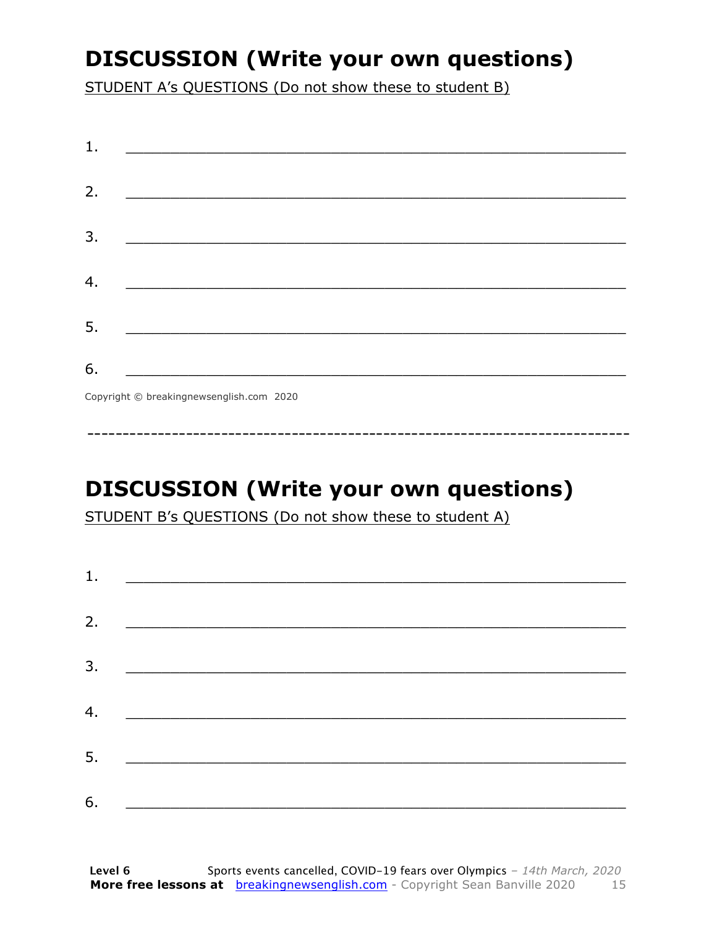### **DISCUSSION (Write your own questions)**

STUDENT A's QUESTIONS (Do not show these to student B)

| 1. |                                                                                                                          |
|----|--------------------------------------------------------------------------------------------------------------------------|
| 2. |                                                                                                                          |
|    | <u> 1989 - Johann John Stone, mars et al. (b. 1989)</u>                                                                  |
| 3. | <u> 1980 - Johann John Stone, mensk politik (d. 1980)</u>                                                                |
|    |                                                                                                                          |
| 4. |                                                                                                                          |
| 5. | <u> 1980 - Johann John Stone, markin fan it fjort fan it fjort fan it fjort fan it fjort fan it fjort fan it fjort f</u> |
|    |                                                                                                                          |
| 6. | <u> 1989 - Johann Barbara, martxa alemani</u> ar arte                                                                    |
|    | $Convriath \odot hraskinanawsanalich com 2020$                                                                           |

Copyright © breakingnewsenglish.com 2020

### **DISCUSSION (Write your own questions)**

STUDENT B's QUESTIONS (Do not show these to student A)

| 1. |                                                                                                                         |  |
|----|-------------------------------------------------------------------------------------------------------------------------|--|
|    |                                                                                                                         |  |
| 2. | <u> 1980 - Antonio Alemania, prima prestava postala de la provincia de la provincia de la provincia de la provincia</u> |  |
| 3. | <u> 1980 - Andrea Andrew Maria (h. 1980).</u>                                                                           |  |
|    |                                                                                                                         |  |
| 4. | <u> 1980 - Jan Barbara Barat, martin da basar da basar da basar da basar da basar da basar da basar da basar da b</u>   |  |
| 5. | <u> 1986 - Johann Stoff, deutscher Stoff und der Stoff und der Stoff und der Stoff und der Stoff und der Stoff und</u>  |  |
|    |                                                                                                                         |  |
| 6. |                                                                                                                         |  |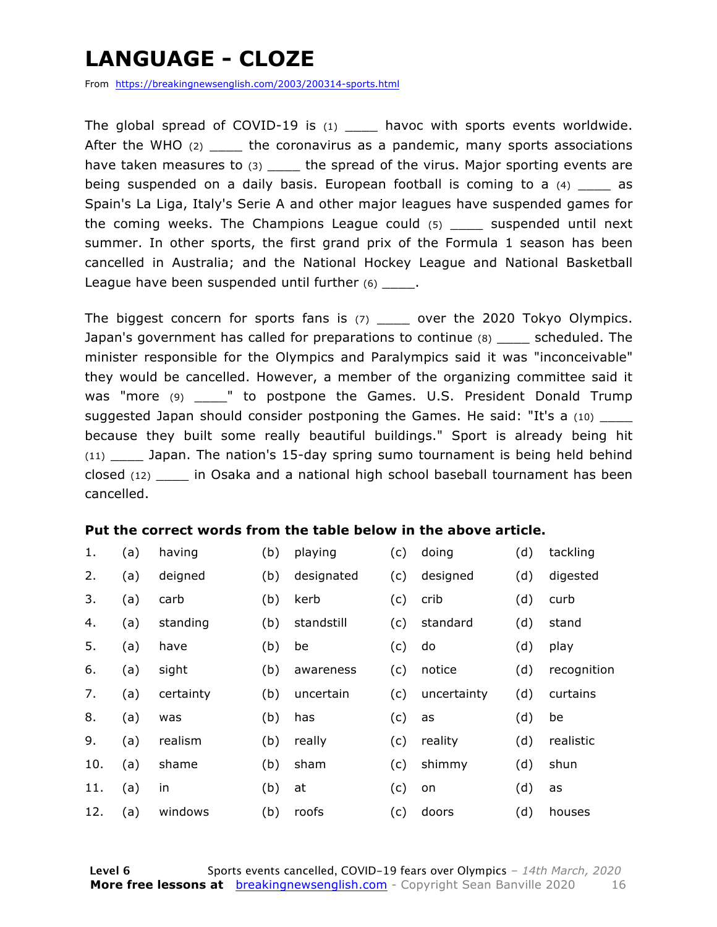### **LANGUAGE - CLOZE**

From https://breakingnewsenglish.com/2003/200314-sports.html

The global spread of COVID-19 is  $(1)$  havoc with sports events worldwide. After the WHO (2) \_\_\_\_\_ the coronavirus as a pandemic, many sports associations have taken measures to (3) \_\_\_\_\_ the spread of the virus. Major sporting events are being suspended on a daily basis. European football is coming to a  $(4)$  as Spain's La Liga, Italy's Serie A and other major leagues have suspended games for the coming weeks. The Champions League could (5) \_\_\_\_ suspended until next summer. In other sports, the first grand prix of the Formula 1 season has been cancelled in Australia; and the National Hockey League and National Basketball League have been suspended until further  $(6)$  \_\_\_\_.

The biggest concern for sports fans is (7) \_\_\_\_ over the 2020 Tokyo Olympics. Japan's government has called for preparations to continue (8) \_\_\_\_ scheduled. The minister responsible for the Olympics and Paralympics said it was "inconceivable" they would be cancelled. However, a member of the organizing committee said it was "more  $(9)$  \_\_\_\_" to postpone the Games. U.S. President Donald Trump suggested Japan should consider postponing the Games. He said: "It's a (10) because they built some really beautiful buildings." Sport is already being hit (11) \_\_\_\_ Japan. The nation's 15-day spring sumo tournament is being held behind closed (12) \_\_\_\_ in Osaka and a national high school baseball tournament has been cancelled.

#### **Put the correct words from the table below in the above article.**

| 1.  | (a) | having    | (b) | playing    | (c) | doing       | (d) | tackling    |
|-----|-----|-----------|-----|------------|-----|-------------|-----|-------------|
| 2.  | (a) | deigned   | (b) | designated | (c) | designed    | (d) | digested    |
| 3.  | (a) | carb      | (b) | kerb       | (c) | crib        | (d) | curb        |
| 4.  | (a) | standing  | (b) | standstill | (c) | standard    | (d) | stand       |
| 5.  | (a) | have      | (b) | be         | (c) | do          | (d) | play        |
| 6.  | (a) | sight     | (b) | awareness  | (c) | notice      | (d) | recognition |
| 7.  | (a) | certainty | (b) | uncertain  | (c) | uncertainty | (d) | curtains    |
| 8.  | (a) | was       | (b) | has        | (c) | as          | (d) | be          |
| 9.  | (a) | realism   | (b) | really     | (c) | reality     | (d) | realistic   |
| 10. | (a) | shame     | (b) | sham       | (c) | shimmy      | (d) | shun        |
| 11. | (a) | in        | (b) | at         | (c) | on          | (d) | as          |
| 12. | (a) | windows   | (b) | roofs      | (c) | doors       | (d) | houses      |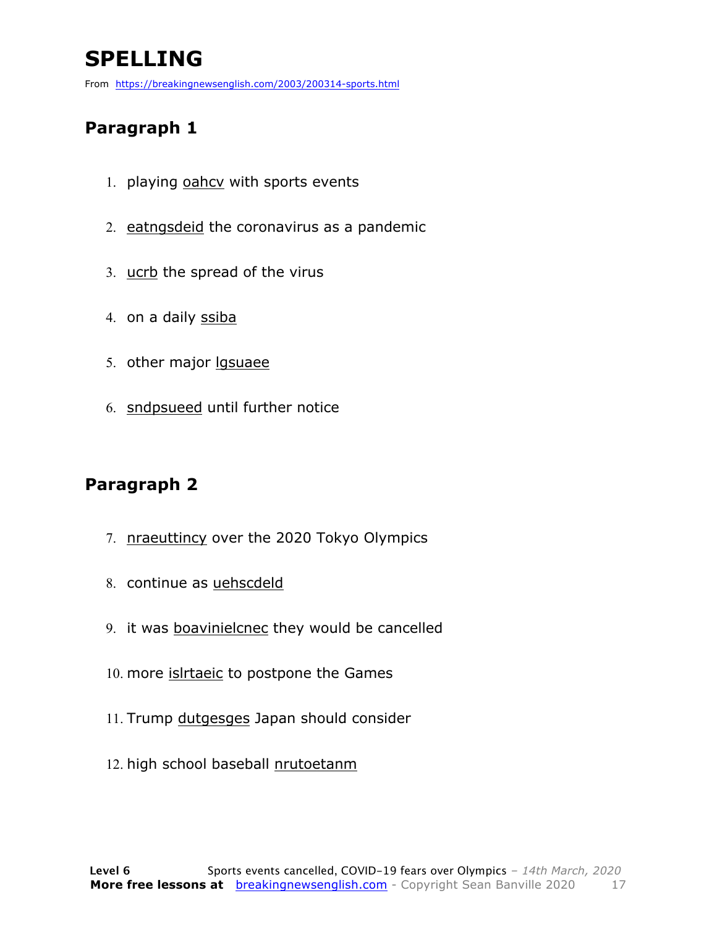### **SPELLING**

From https://breakingnewsenglish.com/2003/200314-sports.html

#### **Paragraph 1**

- 1. playing oahcy with sports events
- 2. eatngsdeid the coronavirus as a pandemic
- 3. ucrb the spread of the virus
- 4. on a daily ssiba
- 5. other major lgsuaee
- 6. sndpsueed until further notice

#### **Paragraph 2**

- 7. nraeuttincy over the 2020 Tokyo Olympics
- 8. continue as uehscdeld
- 9. it was boavinielcnec they would be cancelled
- 10. more *islrtaeic* to postpone the Games
- 11. Trump dutgesges Japan should consider
- 12. high school baseball nrutoetanm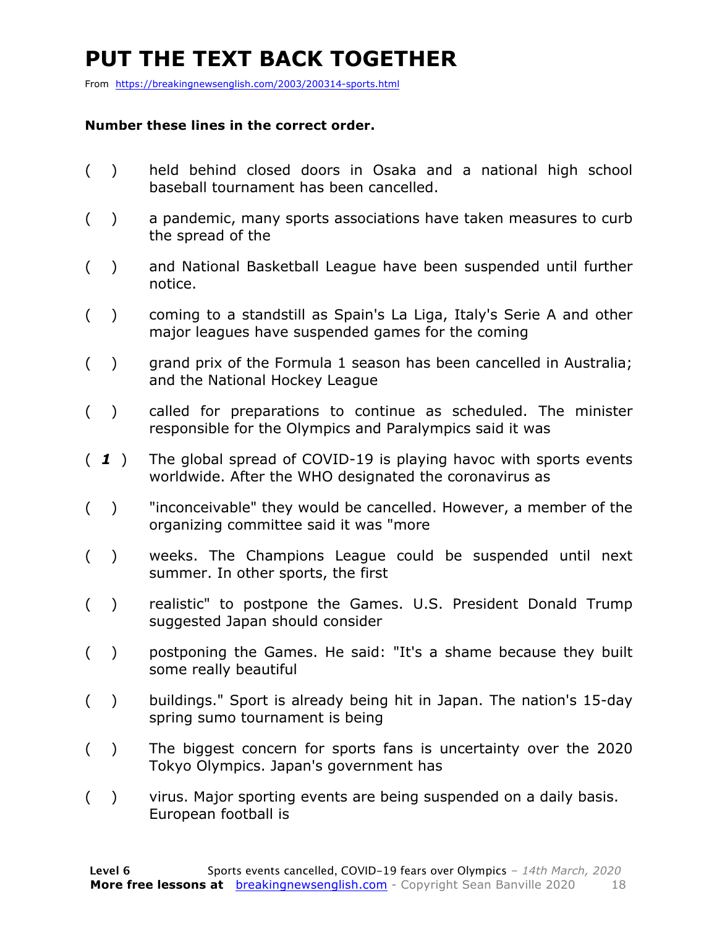### **PUT THE TEXT BACK TOGETHER**

From https://breakingnewsenglish.com/2003/200314-sports.html

#### **Number these lines in the correct order.**

- ( ) held behind closed doors in Osaka and a national high school baseball tournament has been cancelled.
- ( ) a pandemic, many sports associations have taken measures to curb the spread of the
- ( ) and National Basketball League have been suspended until further notice.
- ( ) coming to a standstill as Spain's La Liga, Italy's Serie A and other major leagues have suspended games for the coming
- ( ) grand prix of the Formula 1 season has been cancelled in Australia; and the National Hockey League
- ( ) called for preparations to continue as scheduled. The minister responsible for the Olympics and Paralympics said it was
- ( *1* ) The global spread of COVID-19 is playing havoc with sports events worldwide. After the WHO designated the coronavirus as
- ( ) "inconceivable" they would be cancelled. However, a member of the organizing committee said it was "more
- ( ) weeks. The Champions League could be suspended until next summer. In other sports, the first
- ( ) realistic" to postpone the Games. U.S. President Donald Trump suggested Japan should consider
- ( ) postponing the Games. He said: "It's a shame because they built some really beautiful
- ( ) buildings." Sport is already being hit in Japan. The nation's 15-day spring sumo tournament is being
- ( ) The biggest concern for sports fans is uncertainty over the 2020 Tokyo Olympics. Japan's government has
- ( ) virus. Major sporting events are being suspended on a daily basis. European football is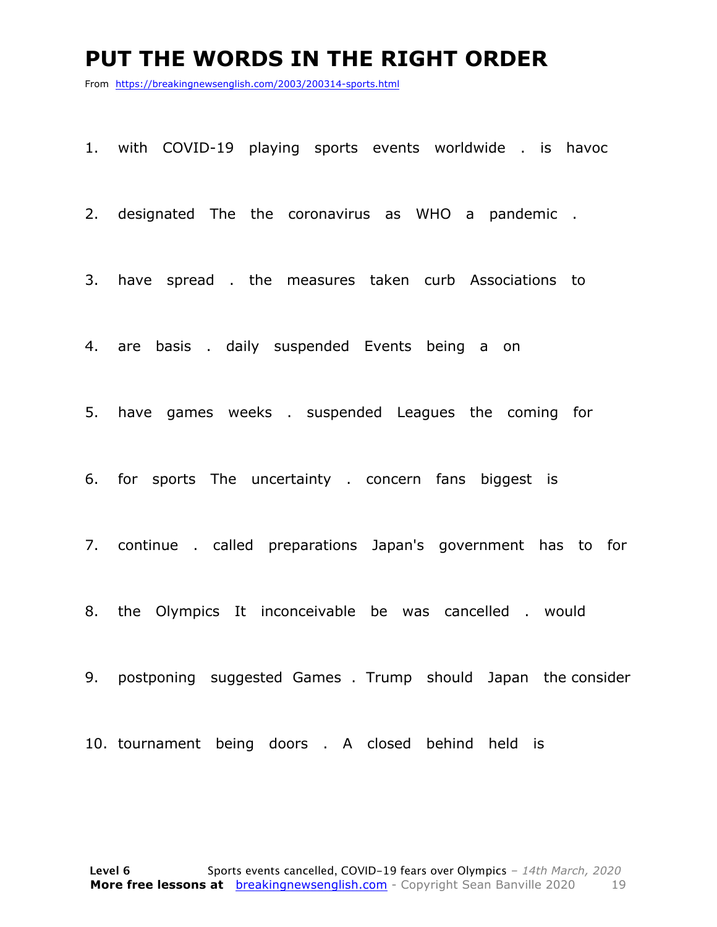#### **PUT THE WORDS IN THE RIGHT ORDER**

From https://breakingnewsenglish.com/2003/200314-sports.html

1. with COVID-19 playing sports events worldwide . is havoc

2. designated The the coronavirus as WHO a pandemic .

3. have spread . the measures taken curb Associations to

4. are basis . daily suspended Events being a on

5. have games weeks . suspended Leagues the coming for

6. for sports The uncertainty . concern fans biggest is

7. continue . called preparations Japan's government has to for

8. the Olympics It inconceivable be was cancelled . would

9. postponing suggested Games . Trump should Japan the consider

10. tournament being doors . A closed behind held is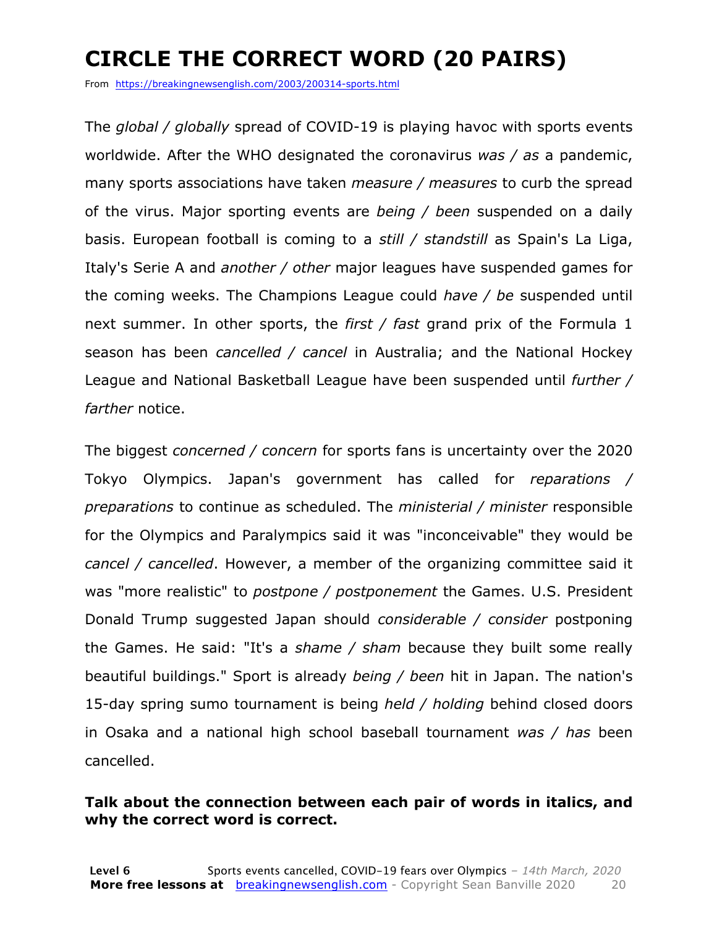### **CIRCLE THE CORRECT WORD (20 PAIRS)**

From https://breakingnewsenglish.com/2003/200314-sports.html

The *global / globally* spread of COVID-19 is playing havoc with sports events worldwide. After the WHO designated the coronavirus *was / as* a pandemic, many sports associations have taken *measure / measures* to curb the spread of the virus. Major sporting events are *being / been* suspended on a daily basis. European football is coming to a *still / standstill* as Spain's La Liga, Italy's Serie A and *another / other* major leagues have suspended games for the coming weeks. The Champions League could *have / be* suspended until next summer. In other sports, the *first / fast* grand prix of the Formula 1 season has been *cancelled / cancel* in Australia; and the National Hockey League and National Basketball League have been suspended until *further / farther* notice.

The biggest *concerned / concern* for sports fans is uncertainty over the 2020 Tokyo Olympics. Japan's government has called for *reparations / preparations* to continue as scheduled. The *ministerial / minister* responsible for the Olympics and Paralympics said it was "inconceivable" they would be *cancel / cancelled*. However, a member of the organizing committee said it was "more realistic" to *postpone / postponement* the Games. U.S. President Donald Trump suggested Japan should *considerable / consider* postponing the Games. He said: "It's a *shame / sham* because they built some really beautiful buildings." Sport is already *being / been* hit in Japan. The nation's 15-day spring sumo tournament is being *held / holding* behind closed doors in Osaka and a national high school baseball tournament *was / has* been cancelled.

#### **Talk about the connection between each pair of words in italics, and why the correct word is correct.**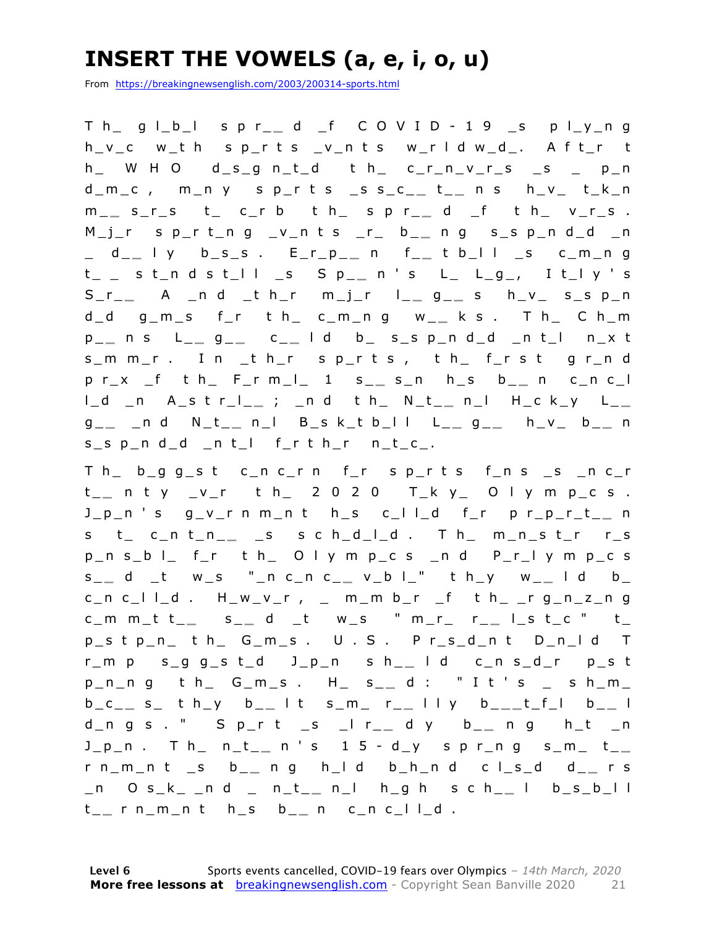### **INSERT THE VOWELS (a, e, i, o, u)**

From https://breakingnewsenglish.com/2003/200314-sports.html

T h\_ g l\_b\_l s p r\_ **\_** d \_f C O V I D - 1 9 \_s p l\_y\_n g h\_v\_c w\_t h s p\_r t s \_v\_n t s w\_r l d w\_d\_. A f t\_r t  $h$  W H O  $d$  s g n t d t h c r n v r s s p n d\_m\_c , m\_n y s p\_r t s \_s s\_c\_ **\_** t \_ **\_** n s h\_v\_ t\_k\_n m \_ **\_** s\_r\_s t\_ c\_r b t h\_ s p r\_ **\_** d \_f t h\_ v\_r\_s . M\_j\_r s p\_r t\_n g \_v\_n t s \_r\_ b\_ **\_** n g s \_s p\_n d\_d \_n \_ d\_ **\_** l y b\_s\_s . E\_r\_p\_ **\_** n f\_ **\_** t b\_l l \_s c\_m\_n g t\_ \_ s t\_n d s t\_l l \_s S p\_ **\_** n ' s L\_ L\_g\_, I t\_l y ' s S\_r\_ **\_** A \_n d \_t h\_r m\_j\_r l\_ **\_** g \_ **\_** s h\_v\_ s\_s p\_n d\_d g\_m\_s f\_r t h\_ c\_m\_n g w\_ **\_** k s . T h\_ C h\_m p \_ **\_** n s L\_ **\_** g \_ **\_** c \_ **\_** l d b\_ s\_s p\_n d\_d \_n t\_l n\_x t s\_m m\_r . I n \_t h\_r s p\_r t s , t h\_ f\_r s t g r\_n d p r\_x \_f t h\_ F\_r m\_l\_ 1 s\_ **\_** s\_n h\_s b\_ **\_** n c\_n c\_l l\_d \_n A\_s t r\_l\_ **\_** ; \_n d t h\_ N\_t\_ **\_** n\_l H \_c k\_y L\_ **\_**  g \_ **\_** \_n d N\_t\_ **\_** n\_l B\_s k\_t b\_l l L\_ **\_** g \_ **\_** h\_v\_ b\_ **\_** n  $s$ <sub>\_</sub>s  $p$ <sub>\_</sub>n d\_d \_n t\_l f\_r t h\_r n\_t\_c\_.

T h\_ b\_g g\_s t c\_n c\_r n f\_r s p\_r t s f\_n s \_s \_n c\_r t\_\_ n t y \_v\_r t h\_ 2 0 2 0 T\_k y\_ O l y m p\_c s . J\_p\_n ' s g\_v\_r n m\_n t h\_s c\_l l\_d f\_r p r\_p\_r\_t\_ **\_** n s t\_ c\_n t\_n\_ **\_** \_s s c h\_d\_l\_d . T h\_ m\_n\_s t\_r r\_s p\_n s\_b l\_ f\_r t h\_ O l y m p\_c s \_n d P\_r\_l y m p\_c s s \_ **\_** d \_t w\_s "\_n c\_n c\_ **\_** v\_b l\_" t h\_y w\_ **\_** l d b\_ c\_n c\_l l\_d . H\_w\_v\_r , \_ m\_m b\_r \_f t h\_ \_r g\_n\_z\_n g c\_m m\_t t\_ **\_** s \_ **\_** d \_t w\_s " m\_r\_ r\_ **\_** l\_s t\_c " t\_ p\_s t p\_n\_ t h\_ G\_m\_s . U . S . P r\_s\_d\_n t D\_n\_l d T r\_m p s\_g g\_s t\_d J\_p\_n s h\_ **\_** l d c\_n s\_d\_r p\_s t p\_n\_n g t h\_ G\_m\_s . H\_ s\_ **\_** d : " I t ' s \_ s h\_m\_ b\_c\_ **\_** s\_ t h\_y b\_ **\_** l t s\_m\_ r\_ **\_** l l y b\_ **\_ \_** t\_f\_l b\_ **\_** l d\_n g s . " S p\_r t \_s \_l r\_ **\_** d y b\_ **\_** n g h\_t \_n J\_p\_n . T h\_ n\_t\_ **\_** n ' s 1 5 - d\_y s p r\_n g s\_m\_ t\_ **\_**  r n\_m\_n t \_s b\_ **\_** n g h\_ l d b\_h\_n d c l\_s\_d d\_ **\_** r s \_n O s\_k\_ \_n d \_ n\_t\_ **\_** n\_l h\_g h s c h\_ **\_** l b\_s\_b\_l l t \_ **\_** r n\_m\_n t h\_s b\_ **\_** n c\_n c\_l l\_d .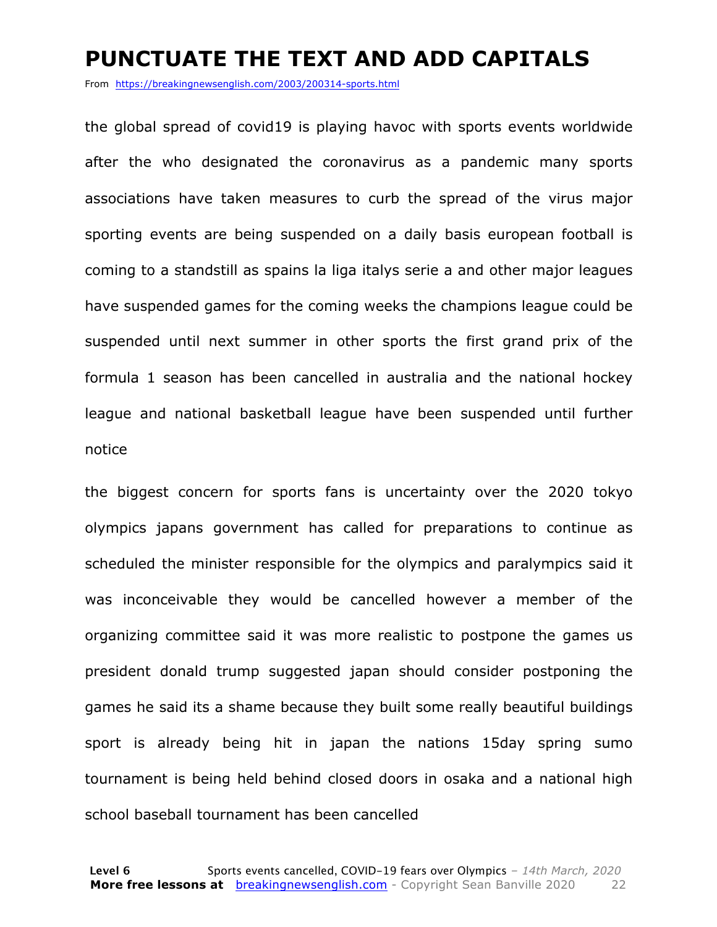#### **PUNCTUATE THE TEXT AND ADD CAPITALS**

From https://breakingnewsenglish.com/2003/200314-sports.html

the global spread of covid19 is playing havoc with sports events worldwide after the who designated the coronavirus as a pandemic many sports associations have taken measures to curb the spread of the virus major sporting events are being suspended on a daily basis european football is coming to a standstill as spains la liga italys serie a and other major leagues have suspended games for the coming weeks the champions league could be suspended until next summer in other sports the first grand prix of the formula 1 season has been cancelled in australia and the national hockey league and national basketball league have been suspended until further notice

the biggest concern for sports fans is uncertainty over the 2020 tokyo olympics japans government has called for preparations to continue as scheduled the minister responsible for the olympics and paralympics said it was inconceivable they would be cancelled however a member of the organizing committee said it was more realistic to postpone the games us president donald trump suggested japan should consider postponing the games he said its a shame because they built some really beautiful buildings sport is already being hit in japan the nations 15day spring sumo tournament is being held behind closed doors in osaka and a national high school baseball tournament has been cancelled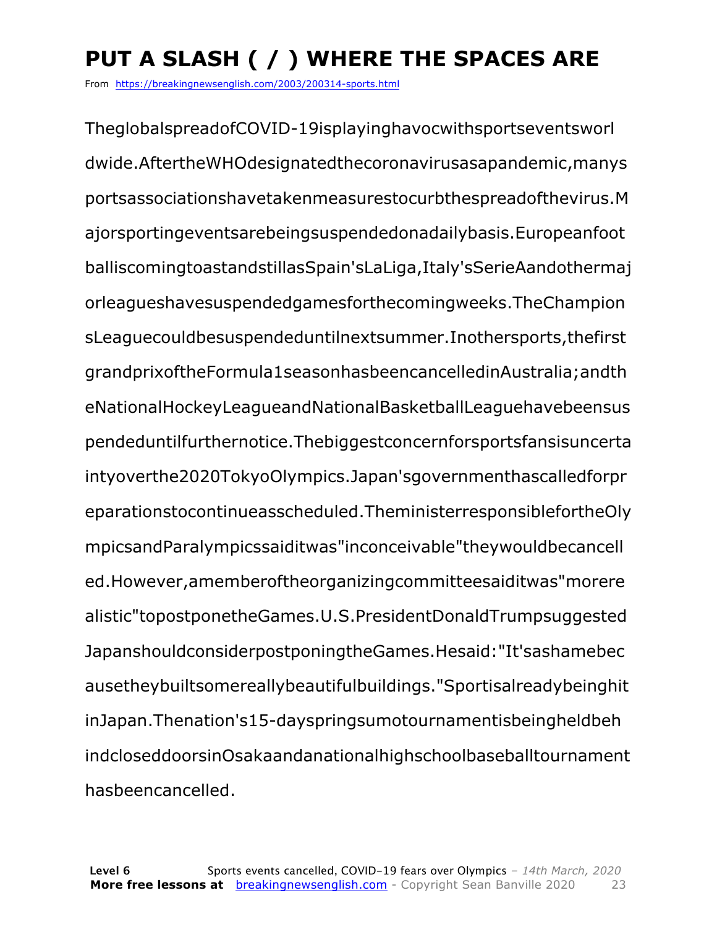## **PUT A SLASH ( / ) WHERE THE SPACES ARE**

From https://breakingnewsenglish.com/2003/200314-sports.html

TheglobalspreadofCOVID-19isplayinghavocwithsportseventsworl dwide.AftertheWHOdesignatedthecoronavirusasapandemic,manys portsassociationshavetakenmeasurestocurbthespreadofthevirus.M ajorsportingeventsarebeingsuspendedonadailybasis.Europeanfoot balliscomingtoastandstillasSpain'sLaLiga,Italy'sSerieAandothermaj orleagueshavesuspendedgamesforthecomingweeks.TheChampion sLeaguecouldbesuspendeduntilnextsummer.Inothersports,thefirst grandprixoftheFormula1seasonhasbeencancelledinAustralia;andth eNationalHockeyLeagueandNationalBasketballLeaguehavebeensus pendeduntilfurthernotice.Thebiggestconcernforsportsfansisuncerta intyoverthe2020TokyoOlympics.Japan'sgovernmenthascalledforpr eparationstocontinueasscheduled.TheministerresponsiblefortheOly mpicsandParalympicssaiditwas"inconceivable"theywouldbecancell ed.However,amemberoftheorganizingcommitteesaiditwas"morere alistic"topostponetheGames.U.S.PresidentDonaldTrumpsuggested JapanshouldconsiderpostponingtheGames.Hesaid:"It'sashamebec ausetheybuiltsomereallybeautifulbuildings."Sportisalreadybeinghit inJapan.Thenation's15-dayspringsumotournamentisbeingheldbeh indcloseddoorsinOsakaandanationalhighschoolbaseballtournament hasbeencancelled.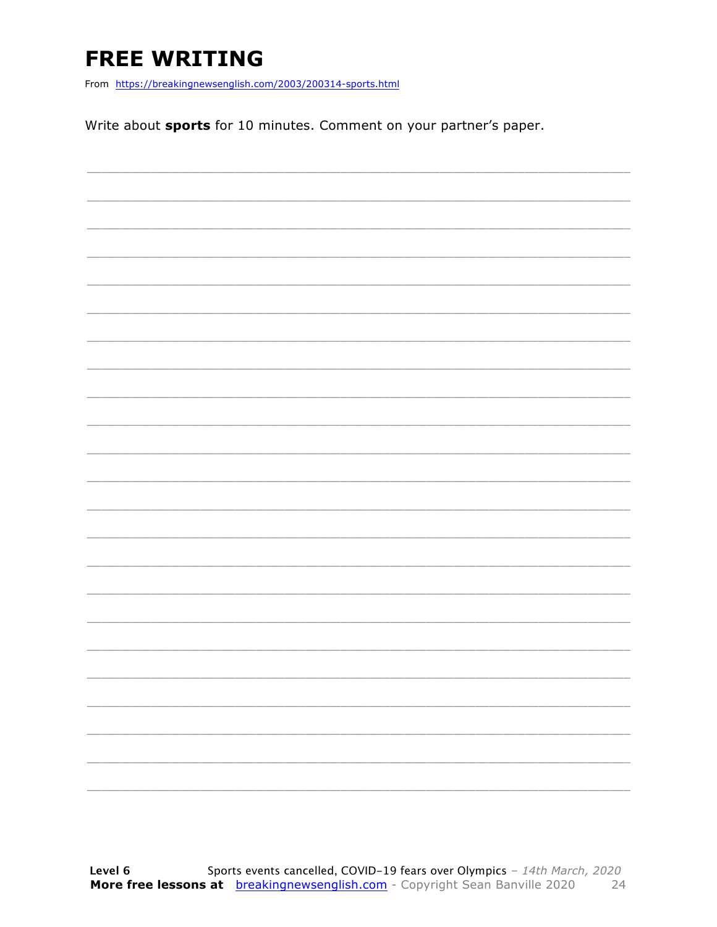### **FREE WRITING**

From https://breakingnewsenglish.com/2003/200314-sports.html

Write about sports for 10 minutes. Comment on your partner's paper.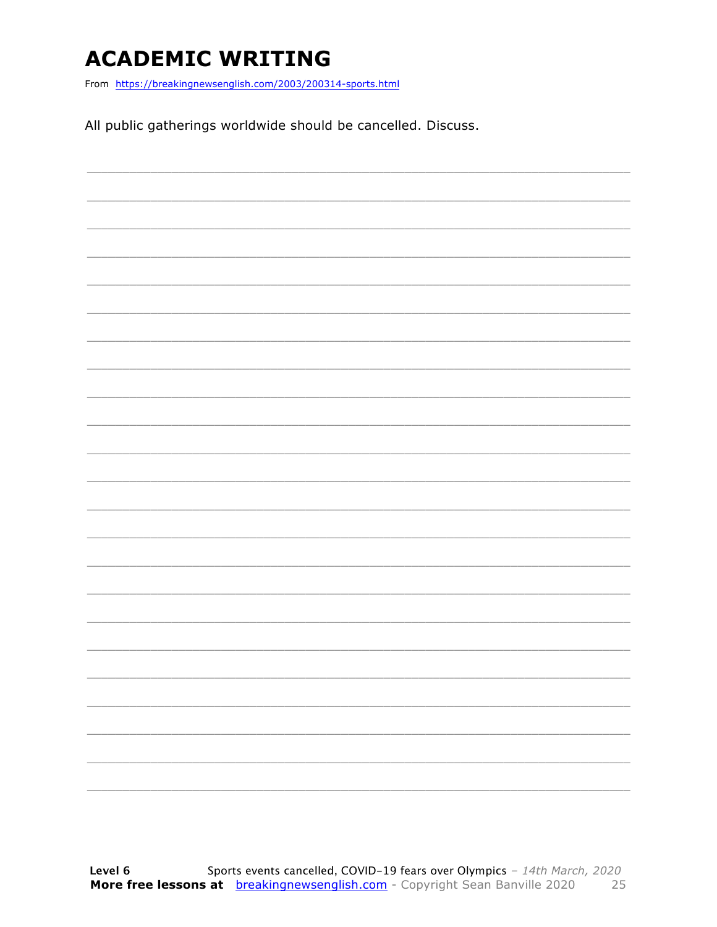### **ACADEMIC WRITING**

From https://breakingnewsenglish.com/2003/200314-sports.html

All public gatherings worldwide should be cancelled. Discuss.

|  |  | ____ |
|--|--|------|
|  |  |      |
|  |  |      |
|  |  |      |
|  |  |      |
|  |  |      |
|  |  |      |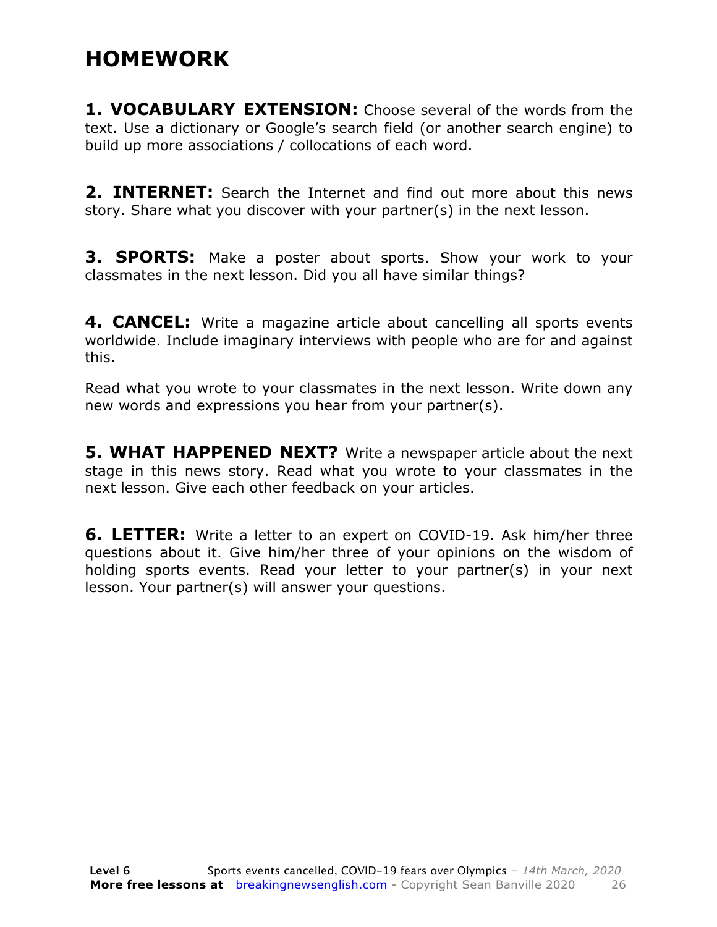### **HOMEWORK**

**1. VOCABULARY EXTENSION:** Choose several of the words from the text. Use a dictionary or Google's search field (or another search engine) to build up more associations / collocations of each word.

**2. INTERNET:** Search the Internet and find out more about this news story. Share what you discover with your partner(s) in the next lesson.

**3. SPORTS:** Make a poster about sports. Show your work to your classmates in the next lesson. Did you all have similar things?

**4. CANCEL:** Write a magazine article about cancelling all sports events worldwide. Include imaginary interviews with people who are for and against this.

Read what you wrote to your classmates in the next lesson. Write down any new words and expressions you hear from your partner(s).

**5. WHAT HAPPENED NEXT?** Write a newspaper article about the next stage in this news story. Read what you wrote to your classmates in the next lesson. Give each other feedback on your articles.

**6. LETTER:** Write a letter to an expert on COVID-19. Ask him/her three questions about it. Give him/her three of your opinions on the wisdom of holding sports events. Read your letter to your partner(s) in your next lesson. Your partner(s) will answer your questions.